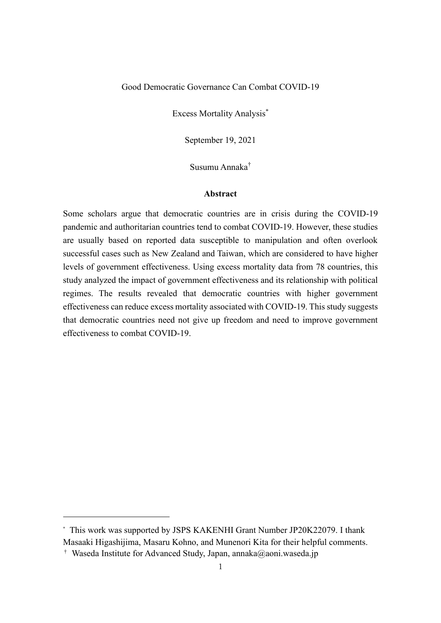### Good Democratic Governance Can Combat COVID-19

Excess Mortality Analysis\*

September 19, 2021

Susumu Annaka†

#### **Abstract**

Some scholars argue that democratic countries are in crisis during the COVID-19 pandemic and authoritarian countries tend to combat COVID-19. However, these studies are usually based on reported data susceptible to manipulation and often overlook successful cases such as New Zealand and Taiwan, which are considered to have higher levels of government effectiveness. Using excess mortality data from 78 countries, this study analyzed the impact of government effectiveness and its relationship with political regimes. The results revealed that democratic countries with higher government effectiveness can reduce excess mortality associated with COVID-19. This study suggests that democratic countries need not give up freedom and need to improve government effectiveness to combat COVID-19.

<sup>\*</sup> This work was supported by JSPS KAKENHI Grant Number JP20K22079. I thank Masaaki Higashijima, Masaru Kohno, and Munenori Kita for their helpful comments.

<sup>&</sup>lt;sup>†</sup> Waseda Institute for Advanced Study, Japan, annaka@aoni.waseda.jp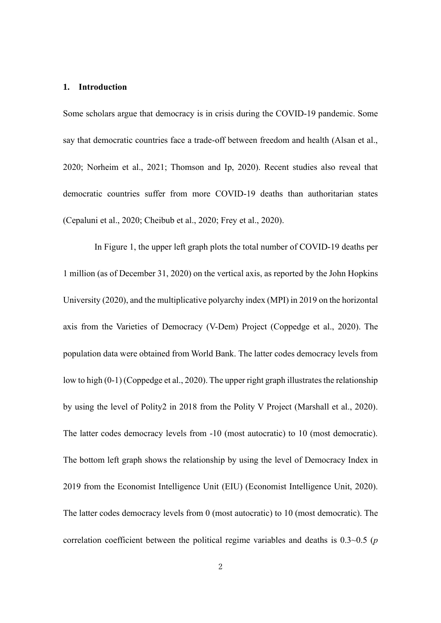#### **1. Introduction**

Some scholars argue that democracy is in crisis during the COVID-19 pandemic. Some say that democratic countries face a trade-off between freedom and health (Alsan et al., 2020; Norheim et al., 2021; Thomson and Ip, 2020). Recent studies also reveal that democratic countries suffer from more COVID-19 deaths than authoritarian states (Cepaluni et al., 2020; Cheibub et al., 2020; Frey et al., 2020).

In Figure 1, the upper left graph plots the total number of COVID-19 deaths per 1 million (as of December 31, 2020) on the vertical axis, as reported by the John Hopkins University (2020), and the multiplicative polyarchy index (MPI) in 2019 on the horizontal axis from the Varieties of Democracy (V-Dem) Project (Coppedge et al., 2020). The population data were obtained from World Bank. The latter codes democracy levels from low to high  $(0-1)$  (Coppedge et al., 2020). The upper right graph illustrates the relationship by using the level of Polity2 in 2018 from the Polity V Project (Marshall et al., 2020). The latter codes democracy levels from -10 (most autocratic) to 10 (most democratic). The bottom left graph shows the relationship by using the level of Democracy Index in 2019 from the Economist Intelligence Unit (EIU) (Economist Intelligence Unit, 2020). The latter codes democracy levels from 0 (most autocratic) to 10 (most democratic). The correlation coefficient between the political regime variables and deaths is 0.3~0.5 (*p*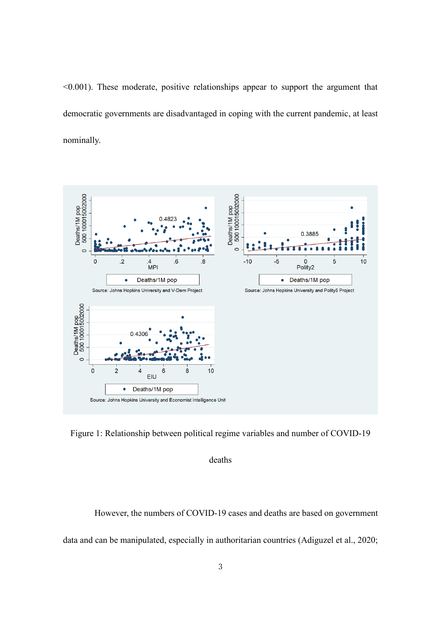$\leq 0.001$ ). These moderate, positive relationships appear to support the argument that democratic governments are disadvantaged in coping with the current pandemic, at least nominally.



Figure 1: Relationship between political regime variables and number of COVID-19

deaths

However, the numbers of COVID-19 cases and deaths are based on government data and can be manipulated, especially in authoritarian countries (Adiguzel et al., 2020;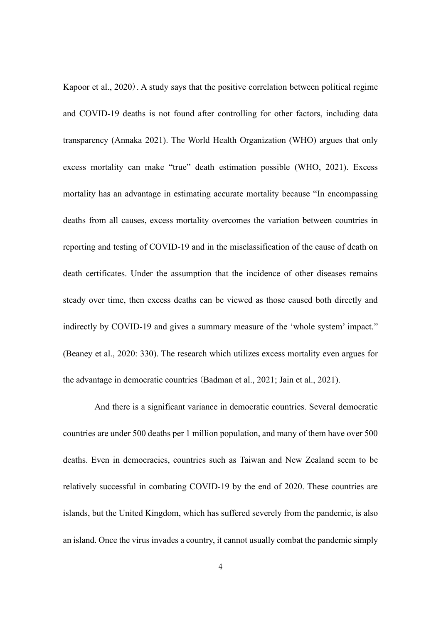Kapoor et al., 2020). A study says that the positive correlation between political regime and COVID-19 deaths is not found after controlling for other factors, including data transparency (Annaka 2021). The World Health Organization (WHO) argues that only excess mortality can make "true" death estimation possible (WHO, 2021). Excess mortality has an advantage in estimating accurate mortality because "In encompassing deaths from all causes, excess mortality overcomes the variation between countries in reporting and testing of COVID-19 and in the misclassification of the cause of death on death certificates. Under the assumption that the incidence of other diseases remains steady over time, then excess deaths can be viewed as those caused both directly and indirectly by COVID-19 and gives a summary measure of the 'whole system' impact." (Beaney et al., 2020: 330). The research which utilizes excess mortality even argues for the advantage in democratic countries (Badman et al., 2021; Jain et al., 2021).

And there is a significant variance in democratic countries. Several democratic countries are under 500 deaths per 1 million population, and many of them have over 500 deaths. Even in democracies, countries such as Taiwan and New Zealand seem to be relatively successful in combating COVID-19 by the end of 2020. These countries are islands, but the United Kingdom, which has suffered severely from the pandemic, is also an island. Once the virus invades a country, it cannot usually combat the pandemic simply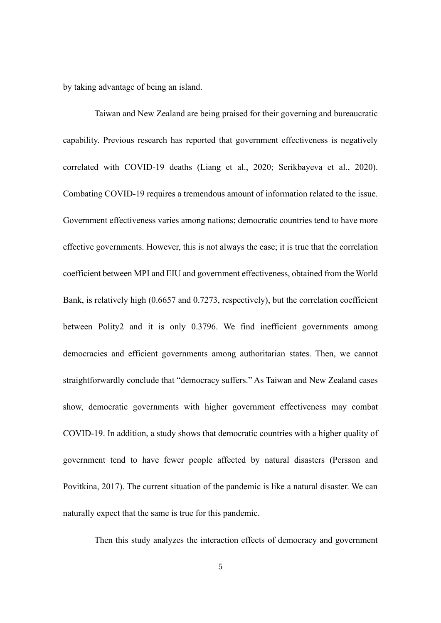by taking advantage of being an island.

Taiwan and New Zealand are being praised for their governing and bureaucratic capability. Previous research has reported that government effectiveness is negatively correlated with COVID-19 deaths (Liang et al., 2020; Serikbayeva et al., 2020). Combating COVID-19 requires a tremendous amount of information related to the issue. Government effectiveness varies among nations; democratic countries tend to have more effective governments. However, this is not always the case; it is true that the correlation coefficient between MPI and EIU and government effectiveness, obtained from the World Bank, is relatively high (0.6657 and 0.7273, respectively), but the correlation coefficient between Polity2 and it is only 0.3796. We find inefficient governments among democracies and efficient governments among authoritarian states. Then, we cannot straightforwardly conclude that "democracy suffers." As Taiwan and New Zealand cases show, democratic governments with higher government effectiveness may combat COVID-19. In addition, a study shows that democratic countries with a higher quality of government tend to have fewer people affected by natural disasters (Persson and Povitkina, 2017). The current situation of the pandemic is like a natural disaster. We can naturally expect that the same is true for this pandemic.

Then this study analyzes the interaction effects of democracy and government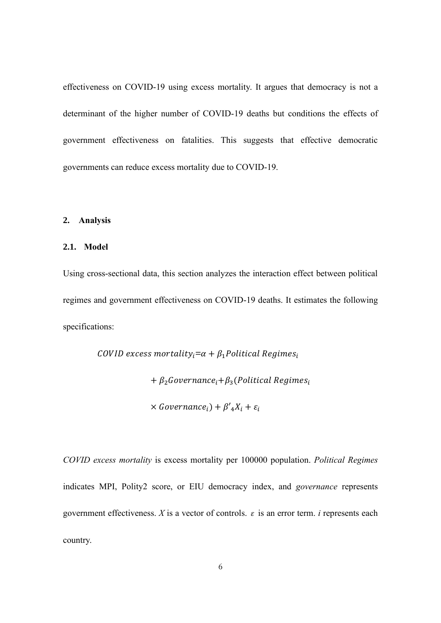effectiveness on COVID-19 using excess mortality. It argues that democracy is not a determinant of the higher number of COVID-19 deaths but conditions the effects of government effectiveness on fatalities. This suggests that effective democratic governments can reduce excess mortality due to COVID-19.

#### **2. Analysis**

### **2.1. Model**

Using cross-sectional data, this section analyzes the interaction effect between political regimes and government effectiveness on COVID-19 deaths. It estimates the following specifications:

> COVID excess mortality<sub>i</sub> $= \alpha + \beta_1$ Political Regimes<sub>i</sub>  $+ \beta_2$ Governance<sub>i</sub> $+ \beta_3$ (Political Regimes<sub>i</sub>  $\times$  Governance<sub>i</sub>) +  $\beta'$ <sub>4</sub>X<sub>i</sub> +  $\varepsilon$ <sub>i</sub>

*COVID excess mortality* is excess mortality per 100000 population. *Political Regimes* indicates MPI, Polity2 score, or EIU democracy index, and *governance* represents government effectiveness. *X* is a vector of controls.  $\varepsilon$  is an error term. *i* represents each country.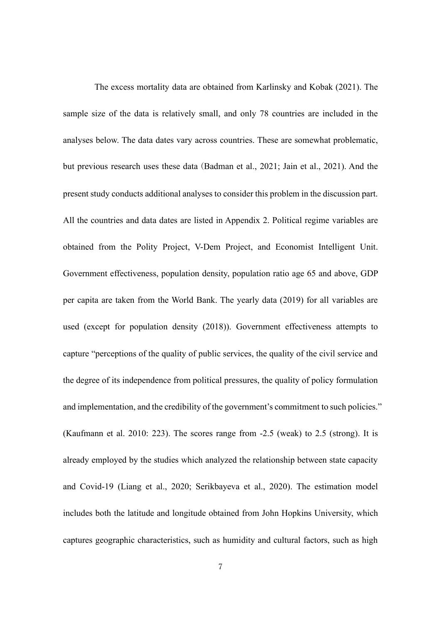The excess mortality data are obtained from Karlinsky and Kobak (2021). The sample size of the data is relatively small, and only 78 countries are included in the analyses below. The data dates vary across countries. These are somewhat problematic, but previous research uses these data (Badman et al., 2021; Jain et al., 2021). And the present study conducts additional analyses to consider this problem in the discussion part. All the countries and data dates are listed in Appendix 2. Political regime variables are obtained from the Polity Project, V-Dem Project, and Economist Intelligent Unit. Government effectiveness, population density, population ratio age 65 and above, GDP per capita are taken from the World Bank. The yearly data (2019) for all variables are used (except for population density (2018)). Government effectiveness attempts to capture "perceptions of the quality of public services, the quality of the civil service and the degree of its independence from political pressures, the quality of policy formulation and implementation, and the credibility of the government's commitment to such policies." (Kaufmann et al. 2010: 223). The scores range from -2.5 (weak) to 2.5 (strong). It is already employed by the studies which analyzed the relationship between state capacity and Covid-19 (Liang et al., 2020; Serikbayeva et al., 2020). The estimation model includes both the latitude and longitude obtained from John Hopkins University, which captures geographic characteristics, such as humidity and cultural factors, such as high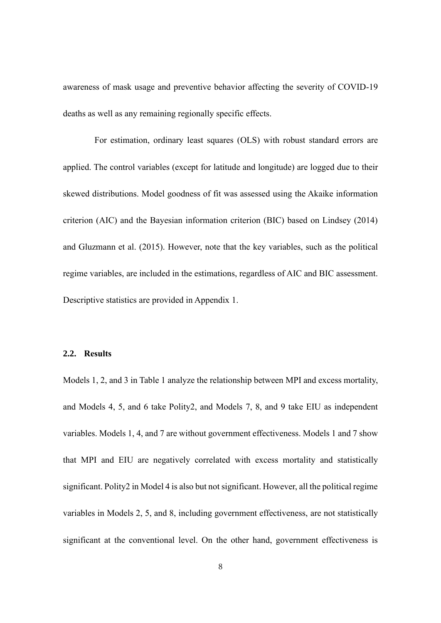awareness of mask usage and preventive behavior affecting the severity of COVID-19 deaths as well as any remaining regionally specific effects.

For estimation, ordinary least squares (OLS) with robust standard errors are applied. The control variables (except for latitude and longitude) are logged due to their skewed distributions. Model goodness of fit was assessed using the Akaike information criterion (AIC) and the Bayesian information criterion (BIC) based on Lindsey (2014) and Gluzmann et al. (2015). However, note that the key variables, such as the political regime variables, are included in the estimations, regardless of AIC and BIC assessment. Descriptive statistics are provided in Appendix 1.

#### **2.2. Results**

Models 1, 2, and 3 in Table 1 analyze the relationship between MPI and excess mortality, and Models 4, 5, and 6 take Polity2, and Models 7, 8, and 9 take EIU as independent variables. Models 1, 4, and 7 are without government effectiveness. Models 1 and 7 show that MPI and EIU are negatively correlated with excess mortality and statistically significant. Polity2 in Model 4 is also but not significant. However, all the political regime variables in Models 2, 5, and 8, including government effectiveness, are not statistically significant at the conventional level. On the other hand, government effectiveness is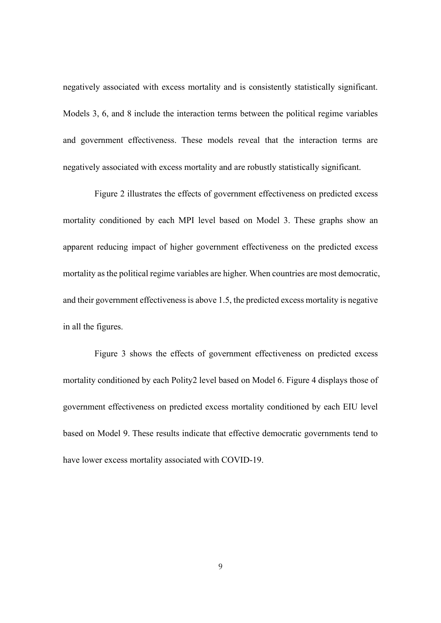negatively associated with excess mortality and is consistently statistically significant. Models 3, 6, and 8 include the interaction terms between the political regime variables and government effectiveness. These models reveal that the interaction terms are negatively associated with excess mortality and are robustly statistically significant.

Figure 2 illustrates the effects of government effectiveness on predicted excess mortality conditioned by each MPI level based on Model 3. These graphs show an apparent reducing impact of higher government effectiveness on the predicted excess mortality as the political regime variables are higher. When countries are most democratic, and their government effectiveness is above 1.5, the predicted excess mortality is negative in all the figures.

Figure 3 shows the effects of government effectiveness on predicted excess mortality conditioned by each Polity2 level based on Model 6. Figure 4 displays those of government effectiveness on predicted excess mortality conditioned by each EIU level based on Model 9. These results indicate that effective democratic governments tend to have lower excess mortality associated with COVID-19.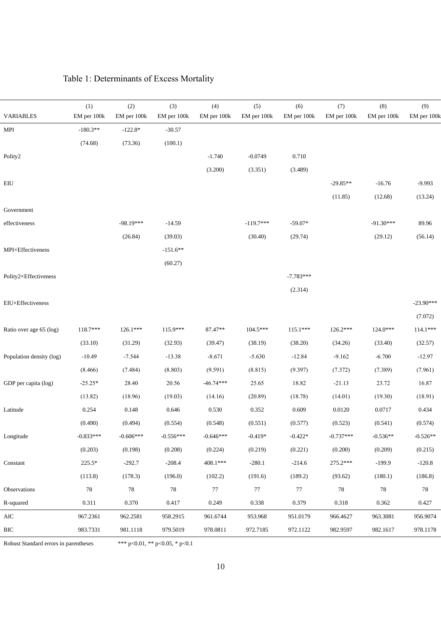|                                                  | (1)         | (2)         | (3)         | (4)         | (5)         | (6)         | (7)         | (8)         | (9)         |
|--------------------------------------------------|-------------|-------------|-------------|-------------|-------------|-------------|-------------|-------------|-------------|
| <b>VARIABLES</b>                                 | EM per 100k | EM per 100k | EM per 100k | EM per 100k | EM per 100k | EM per 100k | EM per 100k | EM per 100k | EM per 100k |
| MPI                                              | $-180.3**$  | $-122.8*$   | $-30.57$    |             |             |             |             |             |             |
|                                                  | (74.68)     | (73.36)     | (100.1)     |             |             |             |             |             |             |
| Polity2                                          |             |             |             | $-1.740$    | $-0.0749$   | $0.710\,$   |             |             |             |
|                                                  |             |             |             | (3.200)     | (3.351)     | (3.489)     |             |             |             |
| $\mathop{\rm E}\nolimits\mathop{\rm I}\nolimits$ |             |             |             |             |             |             | $-29.85**$  | $-16.76$    | $-9.993$    |
|                                                  |             |             |             |             |             |             | (11.85)     | (12.68)     | (13.24)     |
| Government                                       |             |             |             |             |             |             |             |             |             |
| effectiveness                                    |             | $-98.19***$ | $-14.59$    |             | $-119.7***$ | $-59.07*$   |             | $-91.30***$ | 89.96       |
|                                                  |             | (26.84)     | (39.03)     |             | (30.40)     | (29.74)     |             | (29.12)     | (56.14)     |
| MPI×Effectiveness                                |             |             | $-151.6**$  |             |             |             |             |             |             |
|                                                  |             |             | (60.27)     |             |             |             |             |             |             |
| Polity2×Effectiveness                            |             |             |             |             |             | $-7.783***$ |             |             |             |
|                                                  |             |             |             |             |             | (2.314)     |             |             |             |
| EIU×Effectiveness                                |             |             |             |             |             |             |             |             | $-23.90***$ |
|                                                  |             |             |             |             |             |             |             |             | (7.072)     |
| Ratio over age 65 (log)                          | 118.7***    | 126.1***    | 115.9***    | 87.47**     | 104.5***    | $115.1***$  | 126.2***    | $124.0***$  | $114.1***$  |
|                                                  | (33.10)     | (31.29)     | (32.93)     | (39.47)     | (38.19)     | (38.20)     | (34.26)     | (33.40)     | (32.57)     |
| Population density (log)                         | $-10.49$    | $-7.544$    | $-13.38$    | $-8.671$    | $-5.630$    | $-12.84$    | $-9.162$    | $-6.700$    | $-12.97$    |
|                                                  | (8.466)     | (7.484)     | (8.803)     | (9.591)     | (8.815)     | (9.397)     | (7.372)     | (7.389)     | (7.961)     |
| GDP per capita (log)                             | $-25.25*$   | 28.40       | 20.56       | $-46.74***$ | 25.65       | 18.82       | $-21.13$    | 23.72       | 16.87       |
|                                                  | (13.82)     | (18.96)     | (19.03)     | (14.16)     | (20.89)     | (18.78)     | (14.01)     | (19.30)     | (18.91)     |
| Latitude                                         | 0.254       | 0.148       | 0.646       | 0.530       | 0.352       | 0.609       | 0.0120      | 0.0717      | 0.434       |
|                                                  | (0.490)     | (0.494)     | (0.554)     | (0.548)     | (0.551)     | (0.577)     | (0.523)     | (0.541)     | (0.574)     |
| Longitude                                        | $-0.833***$ | $-0.606***$ | $-0.556***$ | $-0.646***$ | $-0.419*$   | $-0.422*$   | $-0.737***$ | $-0.536**$  | $-0.526**$  |
|                                                  | (0.203)     | (0.198)     | (0.208)     | (0.224)     | (0.219)     | (0.221)     | (0.200)     | (0.209)     | (0.215)     |
| Constant                                         | 225.5*      | $-292.7$    | $-208.4$    | 408.1***    | $-280.1$    | $-214.6$    | 275.2***    | $-199.9$    | $-120.8$    |
|                                                  | (113.8)     | (178.3)     | (196.0)     | (102.2)     | (191.6)     | (189.2)     | (93.62)     | (180.1)     | (186.8)     |
| Observations                                     | $78\,$      | $78\,$      | $78\,$      | $77\,$      | $77\,$      | 77          | $78\,$      | $78\,$      | $78\,$      |
| R-squared                                        | 0.311       | 0.370       | 0.417       | 0.249       | 0.338       | 0.379       | 0.318       | 0.362       | 0.427       |
| $\rm AIC$                                        | 967.2361    | 962.2581    | 958.2915    | 961.6744    | 953.968     | 951.0179    | 966.4627    | 963.3081    | 956.9074    |
| $\rm BIC$                                        | 983.7331    | 981.1118    | 979.5019    | 978.0811    | 972.7185    | 972.1122    | 982.9597    | 982.1617    | 978.1178    |

# Table 1: Determinants of Excess Mortality

Robust Standard errors in parentheses \*\*\* p<0.01, \*\* p<0.05, \* p<0.1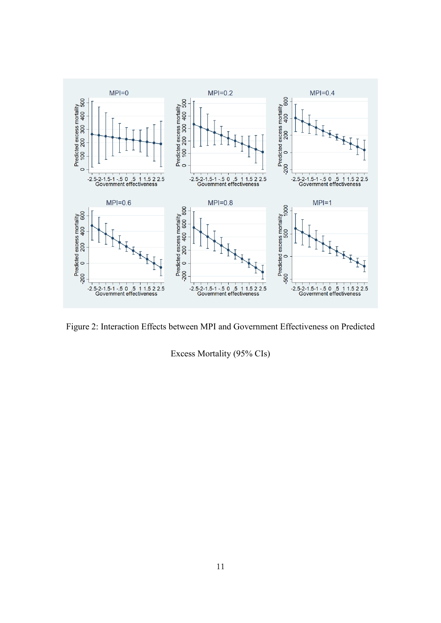

Figure 2: Interaction Effects between MPI and Government Effectiveness on Predicted

Excess Mortality (95% CIs)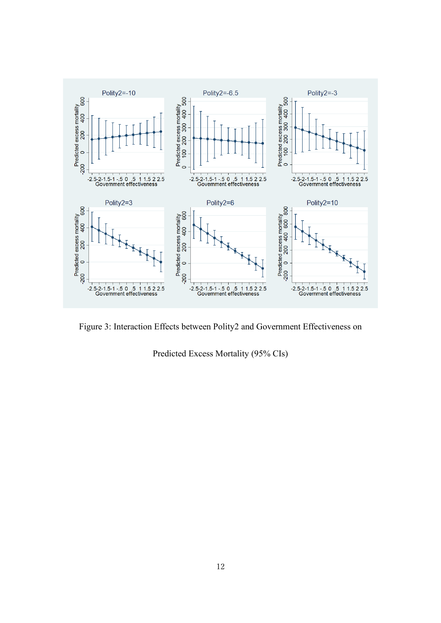

Figure 3: Interaction Effects between Polity2 and Government Effectiveness on

Predicted Excess Mortality (95% CIs)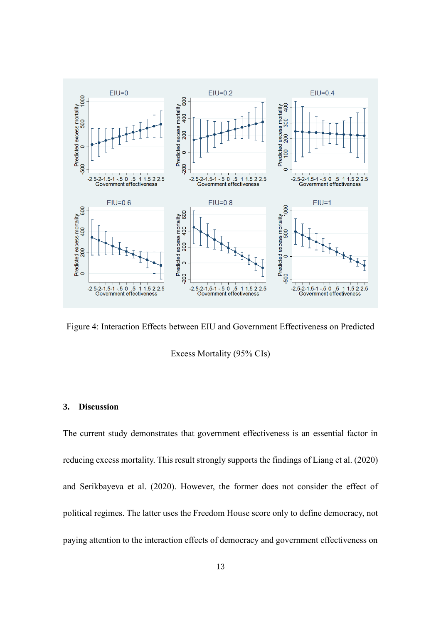

Figure 4: Interaction Effects between EIU and Government Effectiveness on Predicted

Excess Mortality (95% CIs)

### **3. Discussion**

The current study demonstrates that government effectiveness is an essential factor in reducing excess mortality. This result strongly supports the findings of Liang et al. (2020) and Serikbayeva et al. (2020). However, the former does not consider the effect of political regimes. The latter uses the Freedom House score only to define democracy, not paying attention to the interaction effects of democracy and government effectiveness on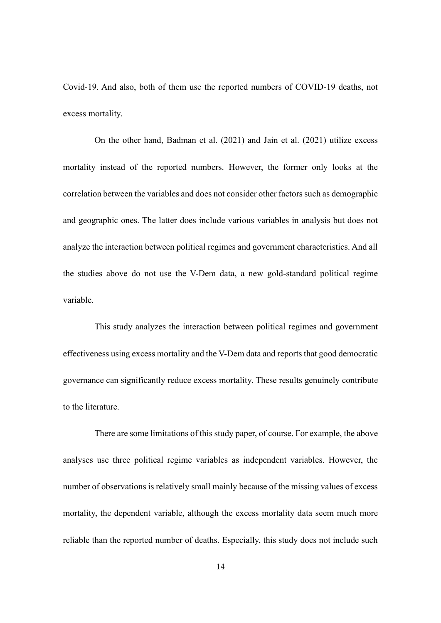Covid-19. And also, both of them use the reported numbers of COVID-19 deaths, not excess mortality.

On the other hand, Badman et al. (2021) and Jain et al. (2021) utilize excess mortality instead of the reported numbers. However, the former only looks at the correlation between the variables and does not consider other factors such as demographic and geographic ones. The latter does include various variables in analysis but does not analyze the interaction between political regimes and government characteristics. And all the studies above do not use the V-Dem data, a new gold-standard political regime variable.

This study analyzes the interaction between political regimes and government effectiveness using excess mortality and the V-Dem data and reports that good democratic governance can significantly reduce excess mortality. These results genuinely contribute to the literature.

There are some limitations of this study paper, of course. For example, the above analyses use three political regime variables as independent variables. However, the number of observations is relatively small mainly because of the missing values of excess mortality, the dependent variable, although the excess mortality data seem much more reliable than the reported number of deaths. Especially, this study does not include such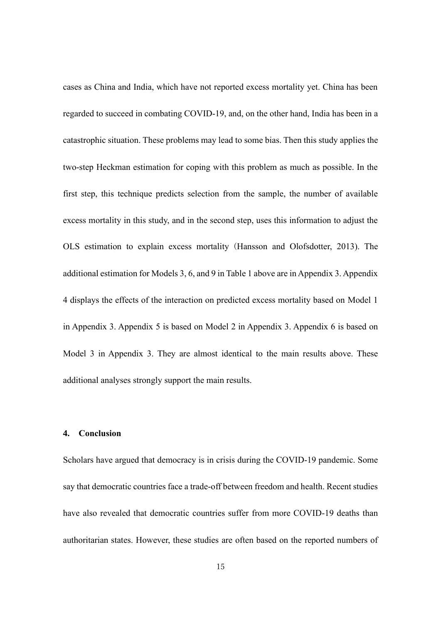cases as China and India, which have not reported excess mortality yet. China has been regarded to succeed in combating COVID-19, and, on the other hand, India has been in a catastrophic situation. These problems may lead to some bias. Then this study applies the two-step Heckman estimation for coping with this problem as much as possible. In the first step, this technique predicts selection from the sample, the number of available excess mortality in this study, and in the second step, uses this information to adjust the OLS estimation to explain excess mortality (Hansson and Olofsdotter, 2013). The additional estimation for Models 3, 6, and 9 in Table 1 above are in Appendix 3. Appendix 4 displays the effects of the interaction on predicted excess mortality based on Model 1 in Appendix 3. Appendix 5 is based on Model 2 in Appendix 3. Appendix 6 is based on Model 3 in Appendix 3. They are almost identical to the main results above. These additional analyses strongly support the main results.

## **4. Conclusion**

Scholars have argued that democracy is in crisis during the COVID-19 pandemic. Some say that democratic countries face a trade-off between freedom and health. Recent studies have also revealed that democratic countries suffer from more COVID-19 deaths than authoritarian states. However, these studies are often based on the reported numbers of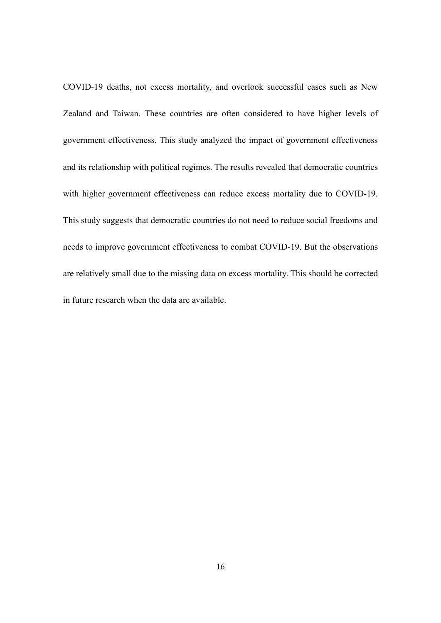COVID-19 deaths, not excess mortality, and overlook successful cases such as New Zealand and Taiwan. These countries are often considered to have higher levels of government effectiveness. This study analyzed the impact of government effectiveness and its relationship with political regimes. The results revealed that democratic countries with higher government effectiveness can reduce excess mortality due to COVID-19. This study suggests that democratic countries do not need to reduce social freedoms and needs to improve government effectiveness to combat COVID-19. But the observations are relatively small due to the missing data on excess mortality. This should be corrected in future research when the data are available.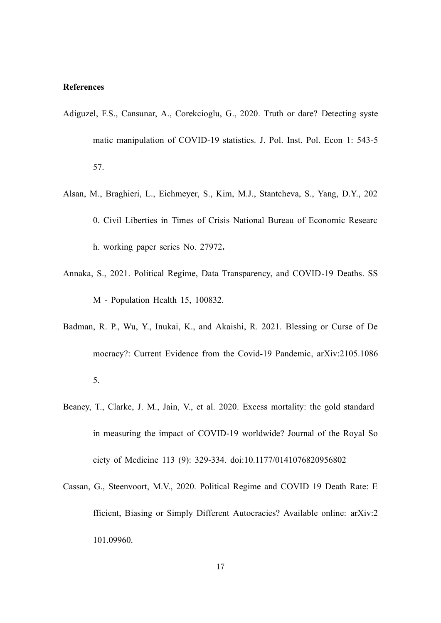#### **References**

- Adiguzel, F.S., Cansunar, A., Corekcioglu, G., 2020. Truth or dare? Detecting syste matic manipulation of COVID-19 statistics. J. Pol. Inst. Pol. Econ 1: 543-5 57.
- Alsan, M., Braghieri, L., Eichmeyer, S., Kim, M.J., Stantcheva, S., Yang, D.Y., 202 0. Civil Liberties in Times of Crisis National Bureau of Economic Researc h. working paper series No. 27972**.**
- Annaka, S., 2021. Political Regime, Data Transparency, and COVID-19 Deaths. SS M - Population Health 15, 100832.
- Badman, R. P., Wu, Y., Inukai, K., and Akaishi, R. 2021. Blessing or Curse of De mocracy?: Current Evidence from the Covid-19 Pandemic, arXiv:2105.1086 5.
- Beaney, T., Clarke, J. M., Jain, V., et al. 2020. Excess mortality: the gold standard in measuring the impact of COVID-19 worldwide? Journal of the Royal So ciety of Medicine 113 (9): 329-334. doi:10.1177/0141076820956802
- Cassan, G., Steenvoort, M.V., 2020. Political Regime and COVID 19 Death Rate: E fficient, Biasing or Simply Different Autocracies? Available online: arXiv:2 101.09960.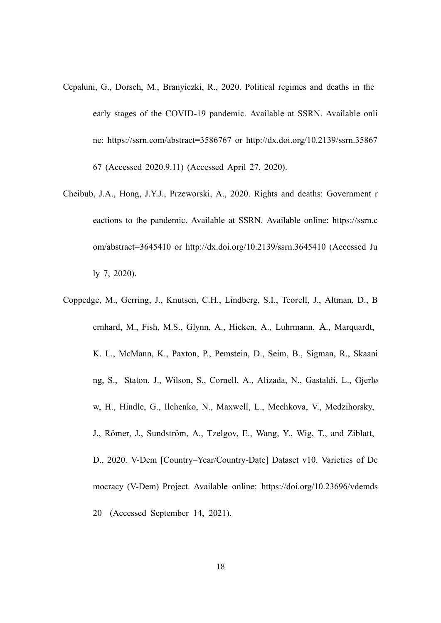- Cepaluni, G., Dorsch, M., Branyiczki, R., 2020. Political regimes and deaths in the early stages of the COVID-19 pandemic. Available at SSRN. Available onli ne: https://ssrn.com/abstract=3586767 or http://dx.doi.org/10.2139/ssrn.35867 67 (Accessed 2020.9.11) (Accessed April 27, 2020).
- Cheibub, J.A., Hong, J.Y.J., Przeworski, A., 2020. Rights and deaths: Government r eactions to the pandemic. Available at SSRN. Available online: https://ssrn.c om/abstract=3645410 or http://dx.doi.org/10.2139/ssrn.3645410 (Accessed Ju ly 7, 2020).
- Coppedge, M., Gerring, J., Knutsen, C.H., Lindberg, S.I., Teorell, J., Altman, D., B ernhard, M., Fish, M.S., Glynn, A., Hicken, A., Luhrmann, A., Marquardt, K. L., McMann, K., Paxton, P., Pemstein, D., Seim, B., Sigman, R., Skaani ng, S., Staton, J., Wilson, S., Cornell, A., Alizada, N., Gastaldi, L., Gjerlø w, H., Hindle, G., Ilchenko, N., Maxwell, L., Mechkova, V., Medzihorsky, J., Römer, J., Sundström, A., Tzelgov, E., Wang, Y., Wig, T., and Ziblatt, D., 2020. V-Dem [Country–Year/Country-Date] Dataset v10. Varieties of De mocracy (V-Dem) Project. Available online: https://doi.org/10.23696/vdemds 20 (Accessed September 14, 2021).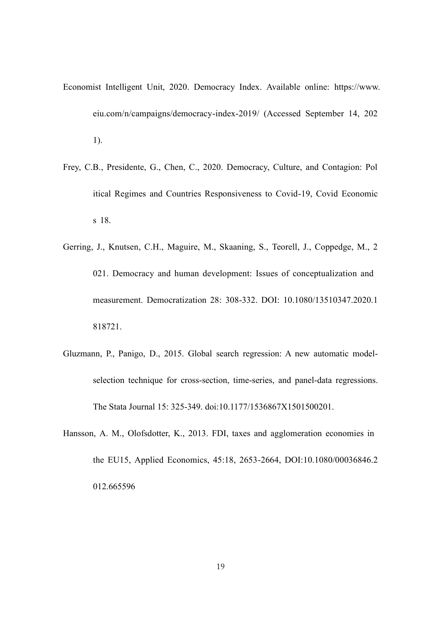- Economist Intelligent Unit, 2020. Democracy Index. Available online: https://www. eiu.com/n/campaigns/democracy-index-2019/ (Accessed September 14, 202 1).
- Frey, C.B., Presidente, G., Chen, C., 2020. Democracy, Culture, and Contagion: Pol itical Regimes and Countries Responsiveness to Covid-19, Covid Economic s 18.
- Gerring, J., Knutsen, C.H., Maguire, M., Skaaning, S., Teorell, J., Coppedge, M., 2 021. Democracy and human development: Issues of conceptualization and measurement. Democratization 28: 308-332. DOI: 10.1080/13510347.2020.1 818721.
- Gluzmann, P., Panigo, D., 2015. Global search regression: A new automatic modelselection technique for cross-section, time-series, and panel-data regressions. The Stata Journal 15: 325-349. doi:10.1177/1536867X1501500201.
- Hansson, A. M., Olofsdotter, K., 2013. FDI, taxes and agglomeration economies in the EU15, Applied Economics, 45:18, 2653-2664, DOI:10.1080/00036846.2 012.665596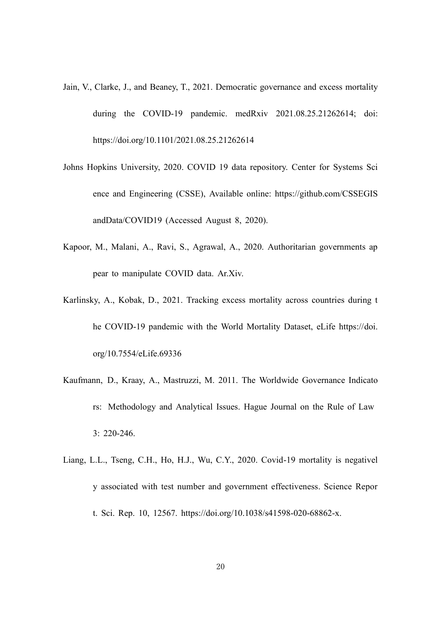- Jain, V., Clarke, J., and Beaney, T., 2021. Democratic governance and excess mortality during the COVID-19 pandemic. medRxiv 2021.08.25.21262614; doi: https://doi.org/10.1101/2021.08.25.21262614
- Johns Hopkins University, 2020. COVID 19 data repository. Center for Systems Sci ence and Engineering (CSSE), Available online: https://github.com/CSSEGIS andData/COVID19 (Accessed August 8, 2020).
- Kapoor, M., Malani, A., Ravi, S., Agrawal, A., 2020. Authoritarian governments ap pear to manipulate COVID data. Ar.Xiv.
- Karlinsky, A., Kobak, D., 2021. Tracking excess mortality across countries during t he COVID-19 pandemic with the World Mortality Dataset, eLife https://doi. org/10.7554/eLife.69336
- Kaufmann, D., Kraay, A., Mastruzzi, M. 2011. The Worldwide Governance Indicato rs: Methodology and Analytical Issues. Hague Journal on the Rule of Law 3: 220-246.
- Liang, L.L., Tseng, C.H., Ho, H.J., Wu, C.Y., 2020. Covid-19 mortality is negativel y associated with test number and government effectiveness. Science Repor t. Sci. Rep. 10, 12567. https://doi.org/10.1038/s41598-020-68862-x.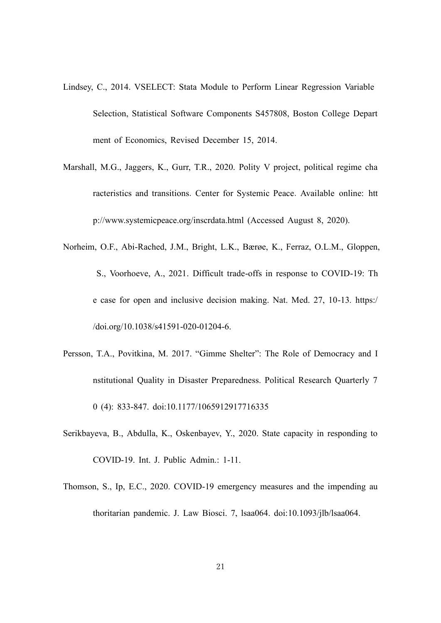- Lindsey, C., 2014. VSELECT: Stata Module to Perform Linear Regression Variable Selection, Statistical Software Components S457808, Boston College Depart ment of Economics, Revised December 15, 2014.
- Marshall, M.G., Jaggers, K., Gurr, T.R., 2020. Polity V project, political regime cha racteristics and transitions. Center for Systemic Peace. Available online: htt p://www.systemicpeace.org/inscrdata.html (Accessed August 8, 2020).
- Norheim, O.F., Abi-Rached, J.M., Bright, L.K., Bærøe, K., Ferraz, O.L.M., Gloppen, S., Voorhoeve, A., 2021. Difficult trade-offs in response to COVID-19: Th e case for open and inclusive decision making. Nat. Med. 27, 10-13*.* https:/ /doi.org/10.1038/s41591-020-01204-6.
- Persson, T.A., Povitkina, M. 2017. "Gimme Shelter": The Role of Democracy and I nstitutional Quality in Disaster Preparedness. Political Research Quarterly 7 0 (4): 833-847. doi:10.1177/1065912917716335
- Serikbayeva, B., Abdulla, K., Oskenbayev, Y., 2020. State capacity in responding to COVID-19. Int. J. Public Admin.: 1-11.
- Thomson, S., Ip, E.C., 2020. COVID-19 emergency measures and the impending au thoritarian pandemic. J. Law Biosci. 7, lsaa064. doi:10.1093/jlb/lsaa064.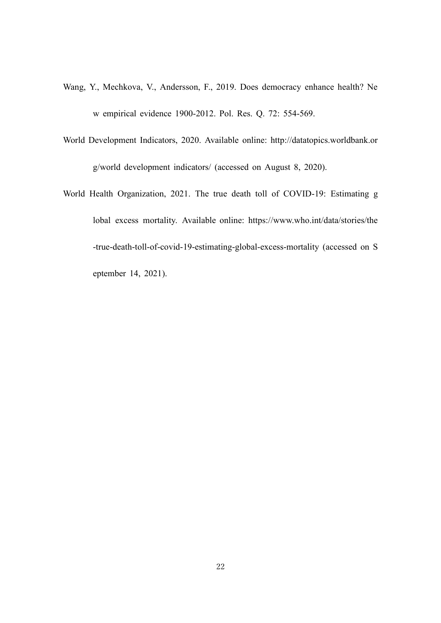- Wang, Y., Mechkova, V., Andersson, F., 2019. Does democracy enhance health? Ne w empirical evidence 1900-2012. Pol. Res. Q. 72: 554-569.
- World Development Indicators, 2020. Available online: http://datatopics.worldbank.or g/world development indicators/ (accessed on August 8, 2020).
- World Health Organization, 2021. The true death toll of COVID-19: Estimating g lobal excess mortality. Available online: https://www.who.int/data/stories/the -true-death-toll-of-covid-19-estimating-global-excess-mortality (accessed on S eptember 14, 2021).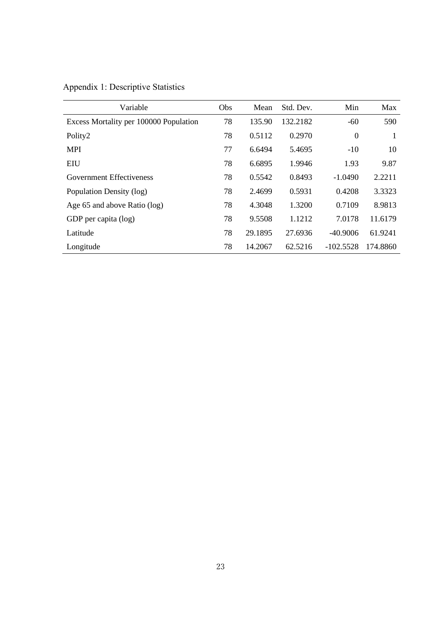| Variable                               | Obs | Mean    | Std. Dev. | Min              | Max      |
|----------------------------------------|-----|---------|-----------|------------------|----------|
| Excess Mortality per 100000 Population | 78  | 135.90  | 132.2182  | $-60$            | 590      |
| Polity2                                | 78  | 0.5112  | 0.2970    | $\boldsymbol{0}$ | 1        |
| <b>MPI</b>                             | 77  | 6.6494  | 5.4695    | $-10$            | 10       |
| EIU                                    | 78  | 6.6895  | 1.9946    | 1.93             | 9.87     |
| Government Effectiveness               | 78  | 0.5542  | 0.8493    | $-1.0490$        | 2.2211   |
| Population Density (log)               | 78  | 2.4699  | 0.5931    | 0.4208           | 3.3323   |
| Age 65 and above Ratio (log)           | 78  | 4.3048  | 1.3200    | 0.7109           | 8.9813   |
| GDP per capita (log)                   | 78  | 9.5508  | 1.1212    | 7.0178           | 11.6179  |
| Latitude                               | 78  | 29.1895 | 27.6936   | $-40.9006$       | 61.9241  |
| Longitude                              | 78  | 14.2067 | 62.5216   | $-102.5528$      | 174,8860 |

Appendix 1: Descriptive Statistics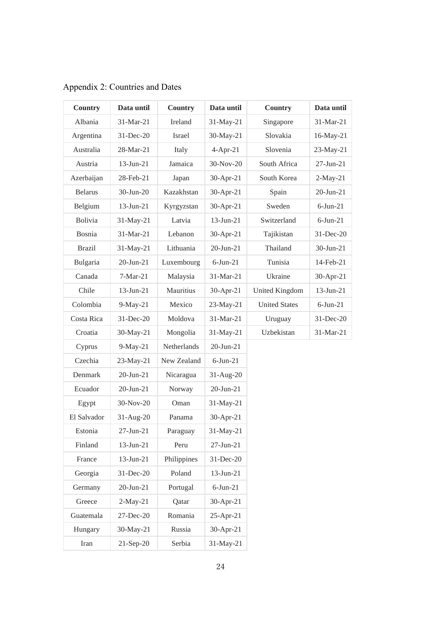| <b>Country</b> | Data until      | Country     | Data until      | Country              | Data until  |
|----------------|-----------------|-------------|-----------------|----------------------|-------------|
| Albania        | 31-Mar-21       | Ireland     | 31-May-21       | Singapore            | 31-Mar-21   |
| Argentina      | 31-Dec-20       | Israel      | 30-May-21       | Slovakia             | 16-May-21   |
| Australia      | 28-Mar-21       | Italy       | $4-Apr-21$      | Slovenia             | 23-May-21   |
| Austria        | $13$ -Jun-21    | Jamaica     | 30-Nov-20       | South Africa         | 27-Jun-21   |
| Azerbaijan     | 28-Feb-21       | Japan       | 30-Apr-21       | South Korea          | $2-May-21$  |
| <b>Belarus</b> | 30-Jun-20       | Kazakhstan  | 30-Apr-21       | Spain                | 20-Jun-21   |
| Belgium        | $13 - Jun - 21$ | Kyrgyzstan  | 30-Apr-21       | Sweden               | $6$ -Jun-21 |
| Bolivia        | 31-May-21       | Latvia      | $13$ -Jun-21    | Switzerland          | $6$ -Jun-21 |
| Bosnia         | 31-Mar-21       | Lebanon     | 30-Apr-21       | Tajikistan           | 31-Dec-20   |
| <b>Brazil</b>  | 31-May-21       | Lithuania   | $20 - Jun - 21$ | Thailand             | 30-Jun-21   |
| Bulgaria       | $20 - Jun - 21$ | Luxembourg  | $6$ -Jun-21     | Tunisia              | 14-Feb-21   |
| Canada         | $7-Mar-21$      | Malaysia    | 31-Mar-21       | Ukraine              | 30-Apr-21   |
| Chile          | $13$ -Jun-21    | Mauritius   | $30-Apr-21$     | United Kingdom       | 13-Jun-21   |
| Colombia       | $9-May-21$      | Mexico      | 23-May-21       | <b>United States</b> | $6$ -Jun-21 |
| Costa Rica     | 31-Dec-20       | Moldova     | 31-Mar-21       | Uruguay              | 31-Dec-20   |
| Croatia        | 30-May-21       | Mongolia    | 31-May-21       | Uzbekistan           | 31-Mar-21   |
| Cyprus         | $9-May-21$      | Netherlands | $20 - Jun - 21$ |                      |             |
| Czechia        | 23-May-21       | New Zealand | $6$ -Jun-21     |                      |             |
| Denmark        | $20$ -Jun-21    | Nicaragua   | $31-Aug-20$     |                      |             |
| Ecuador        | $20 - Jun - 21$ | Norway      | $20$ -Jun- $21$ |                      |             |
| Egypt          | 30-Nov-20       | Oman        | 31-May-21       |                      |             |
| El Salvador    | 31-Aug-20       | Panama      | 30-Apr-21       |                      |             |
| Estonia        | $27 - Jun - 21$ | Paraguay    | 31-May-21       |                      |             |
| Finland        | $13 - Jun - 21$ | Peru        | $27 - Jun - 21$ |                      |             |
| France         | $13 - Jun - 21$ | Philippines | 31-Dec-20       |                      |             |
| Georgia        | 31-Dec-20       | Poland      | $13$ -Jun-21    |                      |             |
| Germany        | $20$ -Jun- $21$ | Portugal    | $6$ -Jun-21     |                      |             |
| Greece         | $2-May-21$      | Qatar       | 30-Apr-21       |                      |             |
| Guatemala      | 27-Dec-20       | Romania     | $25$ -Apr-21    |                      |             |
| Hungary        | 30-May-21       | Russia      | 30-Apr-21       |                      |             |
| Iran           | $21-Sep-20$     | Serbia      | 31-May-21       |                      |             |

Appendix 2: Countries and Dates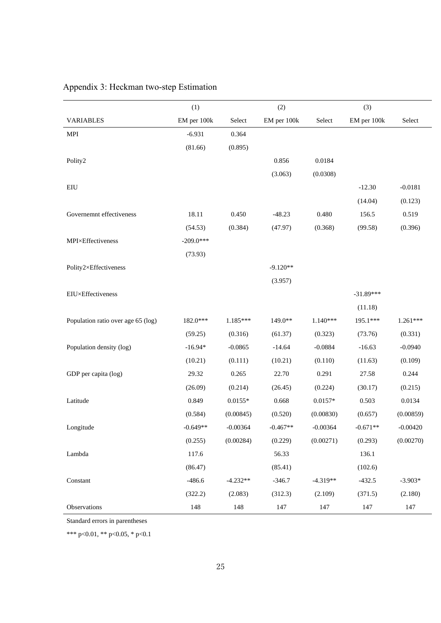|                                    | (1)         |            | (2)         |            | (3)         |            |
|------------------------------------|-------------|------------|-------------|------------|-------------|------------|
| <b>VARIABLES</b>                   | EM per 100k | Select     | EM per 100k | Select     | EM per 100k | Select     |
| <b>MPI</b>                         | $-6.931$    | 0.364      |             |            |             |            |
|                                    | (81.66)     | (0.895)    |             |            |             |            |
| Polity2                            |             |            | 0.856       | 0.0184     |             |            |
|                                    |             |            | (3.063)     | (0.0308)   |             |            |
| EIU                                |             |            |             |            | $-12.30$    | $-0.0181$  |
|                                    |             |            |             |            | (14.04)     | (0.123)    |
| Governemnt effectiveness           | 18.11       | 0.450      | $-48.23$    | 0.480      | 156.5       | 0.519      |
|                                    | (54.53)     | (0.384)    | (47.97)     | (0.368)    | (99.58)     | (0.396)    |
| MPI×Effectiveness                  | $-209.0***$ |            |             |            |             |            |
|                                    | (73.93)     |            |             |            |             |            |
| Polity2×Effectiveness              |             |            | $-9.120**$  |            |             |            |
|                                    |             |            | (3.957)     |            |             |            |
| EIU×Effectiveness                  |             |            |             |            | $-31.89***$ |            |
|                                    |             |            |             |            | (11.18)     |            |
| Population ratio over age 65 (log) | 182.0***    | 1.185***   | 149.0**     | $1.140***$ | 195.1***    | 1.261***   |
|                                    | (59.25)     | (0.316)    | (61.37)     | (0.323)    | (73.76)     | (0.331)    |
| Population density (log)           | $-16.94*$   | $-0.0865$  | $-14.64$    | $-0.0884$  | $-16.63$    | $-0.0940$  |
|                                    | (10.21)     | (0.111)    | (10.21)     | (0.110)    | (11.63)     | (0.109)    |
| GDP per capita (log)               | 29.32       | 0.265      | 22.70       | 0.291      | 27.58       | 0.244      |
|                                    | (26.09)     | (0.214)    | (26.45)     | (0.224)    | (30.17)     | (0.215)    |
| Latitude                           | 0.849       | $0.0155*$  | 0.668       | $0.0157*$  | 0.503       | 0.0134     |
|                                    | (0.584)     | (0.00845)  | (0.520)     | (0.00830)  | (0.657)     | (0.00859)  |
| Longitude                          | $-0.649**$  | $-0.00364$ | $-0.467**$  | $-0.00364$ | $-0.671**$  | $-0.00420$ |
|                                    | (0.255)     | (0.00284)  | (0.229)     | (0.00271)  | (0.293)     | (0.00270)  |
| Lambda                             | 117.6       |            | 56.33       |            | 136.1       |            |
|                                    | (86.47)     |            | (85.41)     |            | (102.6)     |            |
| Constant                           | $-486.6$    | $-4.232**$ | $-346.7$    | $-4.319**$ | $-432.5$    | $-3.903*$  |
|                                    | (322.2)     | (2.083)    | (312.3)     | (2.109)    | (371.5)     | (2.180)    |
| Observations                       | 148         | 148        | 147         | 147        | 147         | 147        |

# Appendix 3: Heckman two-step Estimation

Standard errors in parentheses

\*\*\* p<0.01, \*\* p<0.05, \* p<0.1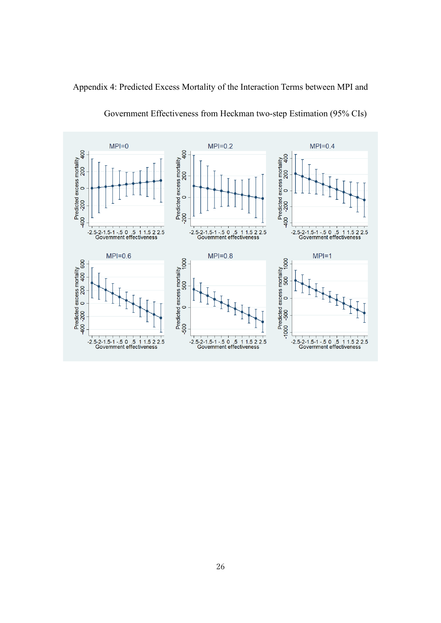



# Government Effectiveness from Heckman two-step Estimation (95% CIs)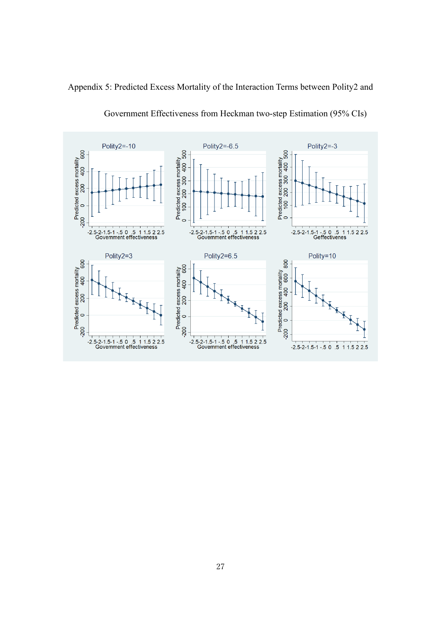



# Government Effectiveness from Heckman two-step Estimation (95% CIs)